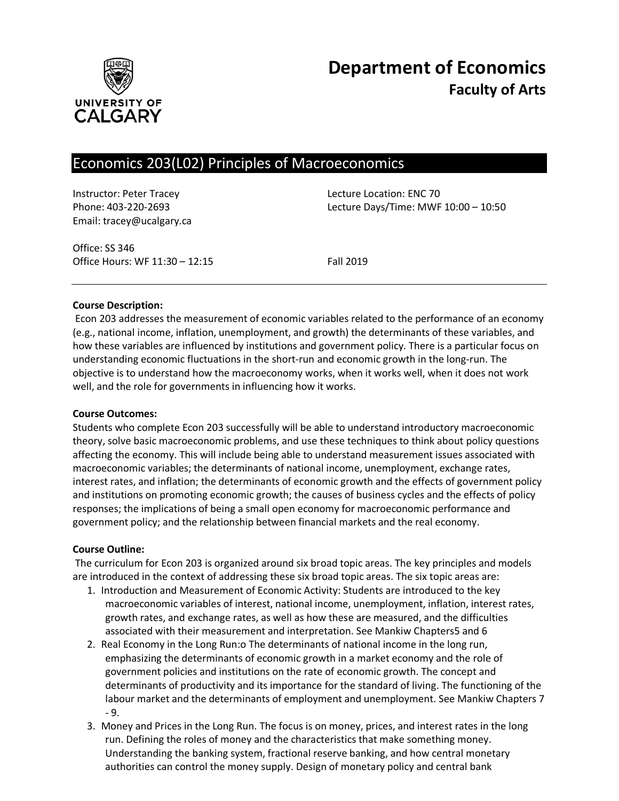

# Economics 203(L02) Principles of Macroeconomics

Instructor: Peter Tracey Lecture Location: ENC 70 Email: tracey@ucalgary.ca

Phone: 403-220-2693 Lecture Days/Time: MWF 10:00 – 10:50

Office: SS 346 Office Hours: WF 11:30 – 12:15 Fall 2019

#### **Course Description:**

Econ 203 addresses the measurement of economic variables related to the performance of an economy (e.g., national income, inflation, unemployment, and growth) the determinants of these variables, and how these variables are influenced by institutions and government policy. There is a particular focus on understanding economic fluctuations in the short-run and economic growth in the long-run. The objective is to understand how the macroeconomy works, when it works well, when it does not work well, and the role for governments in influencing how it works.

#### **Course Outcomes:**

Students who complete Econ 203 successfully will be able to understand introductory macroeconomic theory, solve basic macroeconomic problems, and use these techniques to think about policy questions affecting the economy. This will include being able to understand measurement issues associated with macroeconomic variables; the determinants of national income, unemployment, exchange rates, interest rates, and inflation; the determinants of economic growth and the effects of government policy and institutions on promoting economic growth; the causes of business cycles and the effects of policy responses; the implications of being a small open economy for macroeconomic performance and government policy; and the relationship between financial markets and the real economy.

#### **Course Outline:**

The curriculum for Econ 203 is organized around six broad topic areas. The key principles and models are introduced in the context of addressing these six broad topic areas. The six topic areas are:

- 1. Introduction and Measurement of Economic Activity: Students are introduced to the key macroeconomic variables of interest, national income, unemployment, inflation, interest rates, growth rates, and exchange rates, as well as how these are measured, and the difficulties associated with their measurement and interpretation. See Mankiw Chapters5 and 6
- 2. Real Economy in the Long Run:o The determinants of national income in the long run, emphasizing the determinants of economic growth in a market economy and the role of government policies and institutions on the rate of economic growth. The concept and determinants of productivity and its importance for the standard of living. The functioning of the labour market and the determinants of employment and unemployment. See Mankiw Chapters 7 - 9.
- 3. Money and Prices in the Long Run. The focus is on money, prices, and interest rates in the long run. Defining the roles of money and the characteristics that make something money. Understanding the banking system, fractional reserve banking, and how central monetary authorities can control the money supply. Design of monetary policy and central bank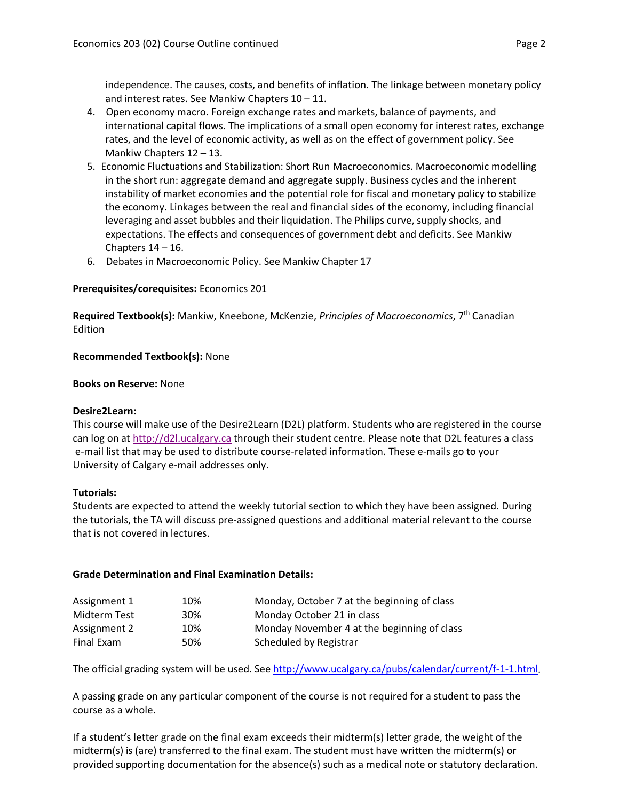independence. The causes, costs, and benefits of inflation. The linkage between monetary policy and interest rates. See Mankiw Chapters 10 – 11.

- 4. Open economy macro. Foreign exchange rates and markets, balance of payments, and international capital flows. The implications of a small open economy for interest rates, exchange rates, and the level of economic activity, as well as on the effect of government policy. See Mankiw Chapters 12 – 13.
- 5. Economic Fluctuations and Stabilization: Short Run Macroeconomics. Macroeconomic modelling in the short run: aggregate demand and aggregate supply. Business cycles and the inherent instability of market economies and the potential role for fiscal and monetary policy to stabilize the economy. Linkages between the real and financial sides of the economy, including financial leveraging and asset bubbles and their liquidation. The Philips curve, supply shocks, and expectations. The effects and consequences of government debt and deficits. See Mankiw Chapters  $14 - 16$ .
- 6. Debates in Macroeconomic Policy. See Mankiw Chapter 17

## **Prerequisites/corequisites:** Economics 201

**Required Textbook(s):** Mankiw, Kneebone, McKenzie, *Principles of Macroeconomics*, 7th Canadian Edition

## **Recommended Textbook(s):** None

#### **Books on Reserve:** None

#### **Desire2Learn:**

This course will make use of the Desire2Learn (D2L) platform. Students who are registered in the course can log on at [http://d2l.ucalgary.ca](http://d2l.ucalgary.ca/) through their student centre. Please note that D2L features a class e-mail list that may be used to distribute course-related information. These e-mails go to your University of Calgary e-mail addresses only.

#### **Tutorials:**

Students are expected to attend the weekly tutorial section to which they have been assigned. During the tutorials, the TA will discuss pre-assigned questions and additional material relevant to the course that is not covered in lectures.

#### **Grade Determination and Final Examination Details:**

| Assignment 1 | 10% | Monday, October 7 at the beginning of class |
|--------------|-----|---------------------------------------------|
| Midterm Test | 30% | Monday October 21 in class                  |
| Assignment 2 | 10% | Monday November 4 at the beginning of class |
| Final Exam   | 50% | Scheduled by Registrar                      |

The official grading system will be used. Se[e http://www.ucalgary.ca/pubs/calendar/current/f-1-1.html.](http://www.ucalgary.ca/pubs/calendar/current/f-1-1.html)

A passing grade on any particular component of the course is not required for a student to pass the course as a whole.

If a student's letter grade on the final exam exceeds their midterm(s) letter grade, the weight of the midterm(s) is (are) transferred to the final exam. The student must have written the midterm(s) or provided supporting documentation for the absence(s) such as a medical note or statutory declaration.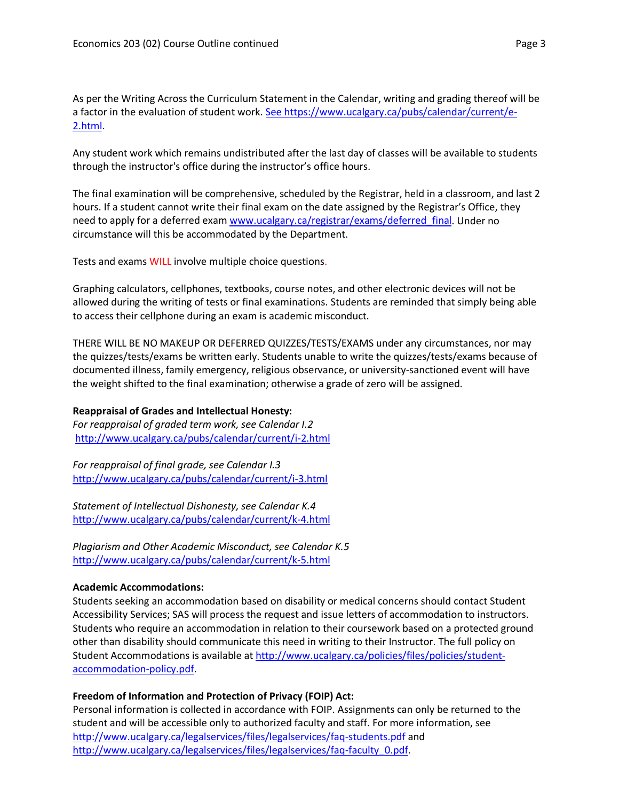As per the Writing Across the Curriculum Statement in the Calendar, writing and grading thereof will be a factor in the evaluation of student work. [See https://www.ucalgary.ca/pubs/calendar/current/e-](https://www.ucalgary.ca/pubs/calendar/current/e-2.html)[2.html.](https://www.ucalgary.ca/pubs/calendar/current/e-2.html)

Any student work which remains undistributed after the last day of classes will be available to students through the instructor's office during the instructor's office hours.

The final examination will be comprehensive, scheduled by the Registrar, held in a classroom, and last 2 hours. If a student cannot write their final exam on the date assigned by the Registrar's Office, they need to apply for a deferred exam [www.ucalgary.ca/registrar/exams/deferred\\_final.](http://www.ucalgary.ca/registrar/exams/deferred_final) Under no circumstance will this be accommodated by the Department.

Tests and exams WILL involve multiple choice questions.

Graphing calculators, cellphones, textbooks, course notes, and other electronic devices will not be allowed during the writing of tests or final examinations. Students are reminded that simply being able to access their cellphone during an exam is academic misconduct.

THERE WILL BE NO MAKEUP OR DEFERRED QUIZZES/TESTS/EXAMS under any circumstances, nor may the quizzes/tests/exams be written early. Students unable to write the quizzes/tests/exams because of documented illness, family emergency, religious observance, or university-sanctioned event will have the weight shifted to the final examination; otherwise a grade of zero will be assigned.

## **Reappraisal of Grades and Intellectual Honesty:**

*For reappraisal of graded term work, see Calendar I.2* <http://www.ucalgary.ca/pubs/calendar/current/i-2.html>

*For reappraisal of final grade, see Calendar I.3* <http://www.ucalgary.ca/pubs/calendar/current/i-3.html>

*Statement of Intellectual Dishonesty, see Calendar K.4* <http://www.ucalgary.ca/pubs/calendar/current/k-4.html>

*Plagiarism and Other Academic Misconduct, see Calendar K.5* <http://www.ucalgary.ca/pubs/calendar/current/k-5.html>

#### **Academic Accommodations:**

Students seeking an accommodation based on disability or medical concerns should contact Student Accessibility Services; SAS will process the request and issue letters of accommodation to instructors. Students who require an accommodation in relation to their coursework based on a protected ground other than disability should communicate this need in writing to their Instructor. The full policy on Student Accommodations is available at [http://www.ucalgary.ca/policies/files/policies/student](http://www.ucalgary.ca/policies/files/policies/student-accommodation-policy.pdf)[accommodation-policy.pdf.](http://www.ucalgary.ca/policies/files/policies/student-accommodation-policy.pdf)

## **Freedom of Information and Protection of Privacy (FOIP) Act:**

Personal information is collected in accordance with FOIP. Assignments can only be returned to the student and will be accessible only to authorized faculty and staff. For more information, see <http://www.ucalgary.ca/legalservices/files/legalservices/faq-students.pdf> and [http://www.ucalgary.ca/legalservices/files/legalservices/faq-faculty\\_0.pdf.](http://www.ucalgary.ca/legalservices/files/legalservices/faq-faculty_0.pdf)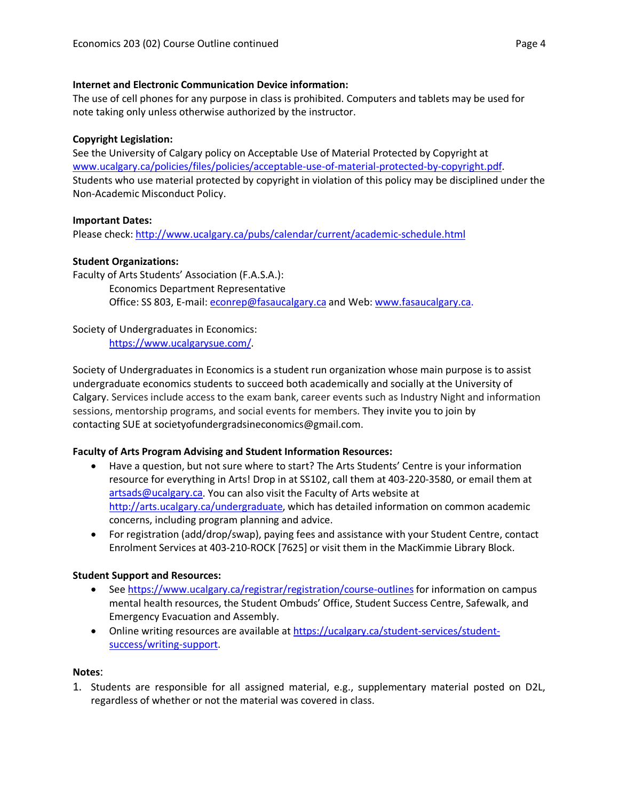## **Internet and Electronic Communication Device information:**

The use of cell phones for any purpose in class is prohibited. Computers and tablets may be used for note taking only unless otherwise authorized by the instructor.

## **Copyright Legislation:**

See the University of Calgary policy on Acceptable Use of Material Protected by Copyright at [www.ucalgary.ca/policies/files/policies/acceptable-use-of-material-protected-by-copyright.pdf.](http://www.ucalgary.ca/policies/files/policies/acceptable-use-of-material-protected-by-copyright.pdf) Students who use material protected by copyright in violation of this policy may be disciplined under the Non-Academic Misconduct Policy.

## **Important Dates:**

Please check:<http://www.ucalgary.ca/pubs/calendar/current/academic-schedule.html>

## **Student Organizations:**

Faculty of Arts Students' Association (F.A.S.A.): Economics Department Representative Office: SS 803, E-mail: [econrep@fasaucalgary.ca](mailto:econrep@fasaucalgary.ca) and Web: [www.fasaucalgary.ca.](http://www.fasaucalgary.ca/)

Society of Undergraduates in Economics: [https://www.ucalgarysue.com/.](https://www.ucalgarysue.com/)

Society of Undergraduates in Economics is a student run organization whose main purpose is to assist undergraduate economics students to succeed both academically and socially at the University of Calgary. Services include access to the exam bank, career events such as Industry Night and information sessions, mentorship programs, and social events for members. They invite you to join by contacting SUE at societyofundergradsineconomics@gmail.com.

## **Faculty of Arts Program Advising and Student Information Resources:**

- Have a question, but not sure where to start? The Arts Students' Centre is your information resource for everything in Arts! Drop in at SS102, call them at 403-220-3580, or email them at [artsads@ucalgary.ca.](mailto:artsads@ucalgary.ca) You can also visit the Faculty of Arts website at [http://arts.ucalgary.ca/undergraduate,](http://arts.ucalgary.ca/undergraduate) which has detailed information on common academic concerns, including program planning and advice.
- For registration (add/drop/swap), paying fees and assistance with your Student Centre, contact Enrolment Services at 403-210-ROCK [7625] or visit them in the MacKimmie Library Block.

## **Student Support and Resources:**

- See https://www.ucalgary.ca/registrar/registration/course-outlines for information on campus mental health resources, the Student Ombuds' Office, Student Success Centre, Safewalk, and Emergency Evacuation and Assembly.
- Online writing resources are available at [https://ucalgary.ca/student-services/student](https://ucalgary.ca/student-services/student-success/writing-support)[success/writing-support.](https://ucalgary.ca/student-services/student-success/writing-support)

#### **Notes**:

1. Students are responsible for all assigned material, e.g., supplementary material posted on D2L, regardless of whether or not the material was covered in class.